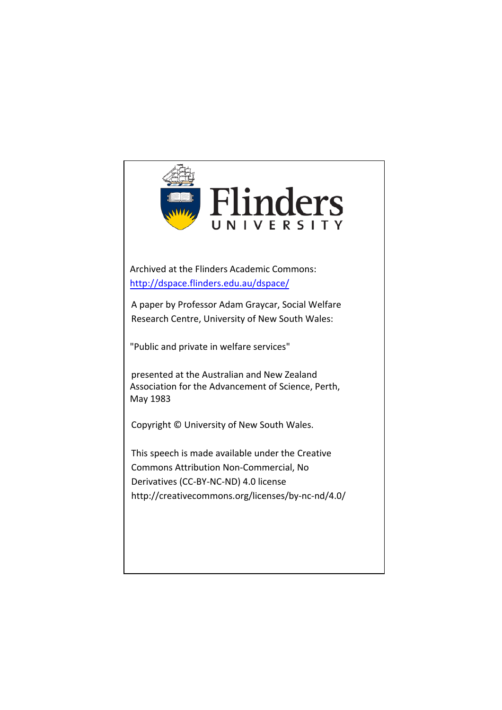

Archived at the Flinders Academic Commons: <http://dspace.flinders.edu.au/dspace/>

A paper by Professor Adam Graycar, Social Welfare Research Centre, University of New South Wales:

"Public and private in welfare services"

presented at the Australian and New Zealand Association for the Advancement of Science, Perth, May 1983

Copyright © University of New South Wales.

This speech is made available under the Creative Commons Attribution Non-Commercial, No Derivatives (CC-BY-NC-ND) 4.0 license http://creativecommons.org/licenses/by-nc-nd/4.0/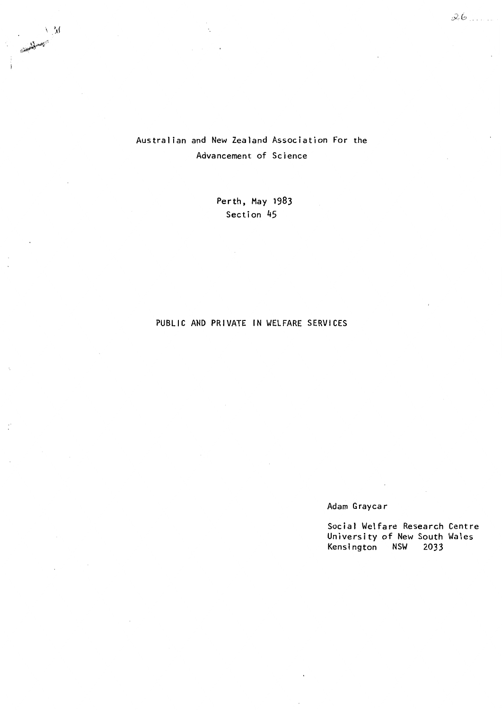# Australian and New Zealand Association For the Advancement of Science

Perth, May 1983 Section 45

# PUBLIC AND PRIVATE IN WELFARE SERVICES

# Adam Graycar

Social Welfare Research Centre University of New South Wales Kensington NSW 2033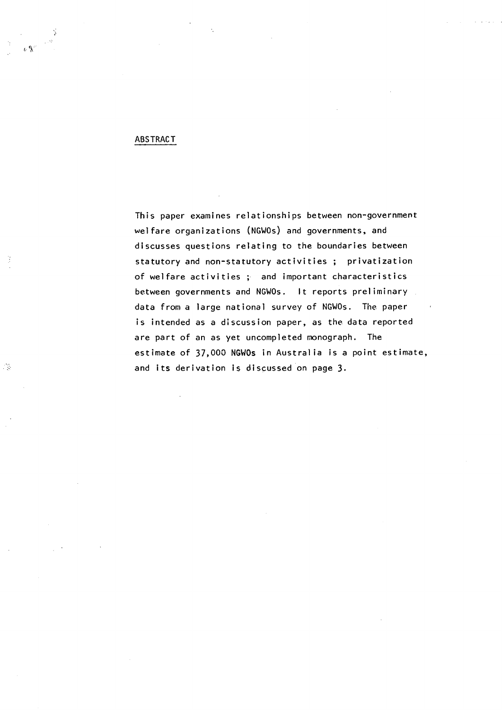# ABSTRACT

心餐

 $\frac{1}{2}$ 

This paper examines relationships between non-government welfare organizations (NGWOs) and governments, and discusses questions relating to the boundaries between statutory and non-statutory activities ; privatization of welfare activities ; and important characteristics between governments and NGWOs. It reports preliminary data from a large national survey of NGWOs. The paper is intended as a discussion paper, as the data reported are part of an as yet uncompleted monograph. The estimate of 37,000 **NGWOs** in Australia is a point estimate, and its derivation is discussed on page 3.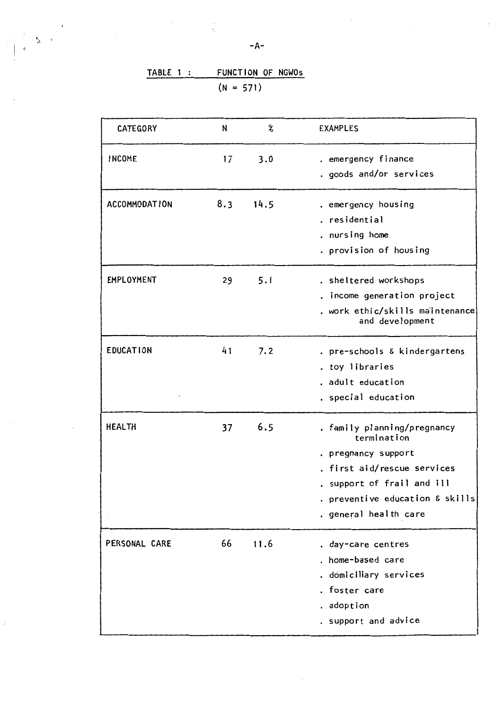| CATEGORY             | N   | X    | <b>EXAMPLES</b>                                                                                                                                                                            |
|----------------------|-----|------|--------------------------------------------------------------------------------------------------------------------------------------------------------------------------------------------|
| <b>INCOME</b>        | 17  | 3.0  | . emergency finance<br>. goods and/or services                                                                                                                                             |
| <b>ACCOMMODATION</b> | 8.3 | 14.5 | . emergency housing<br>. residential<br>. nursing home<br>. provision of housing                                                                                                           |
| <b>EMPLOYMENT</b>    | 29  | 5.1  | . sheltered workshops<br>income generation project<br>. work ethic/skills maintenance<br>and development                                                                                   |
| <b>EDUCATION</b>     | 41  | 7.2  | . pre-schools & kindergartens<br>. toy libraries<br>. adult education<br>. special education                                                                                               |
| <b>HEALTH</b>        | 37  | 6.5  | . family planning/pregnancy<br>termination<br>. pregnancy support<br>. first aid/rescue services<br>. support of frail and ill<br>. preventive education & skills<br>. general health care |
| PERSONAL CARE        | 66  | 11.6 | . day-care centres<br>. home-based care<br>. domiciliary services<br>. foster care<br>. adoption<br>. support and advice                                                                   |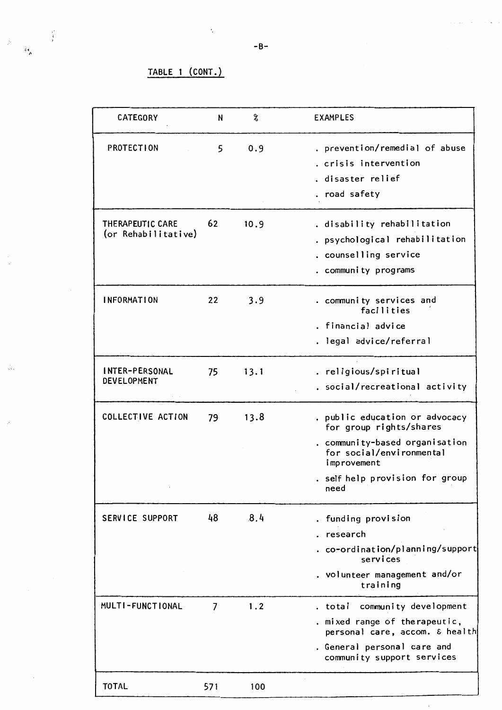# TABLE 1 (CONT.)

 $\frac{1}{3}$ 

61<br>م

 $\ddot{\cdot}$ 

| CATEGORY                                | N              | %    | <b>EXAMPLES</b>                                                                                                                                                                   |
|-----------------------------------------|----------------|------|-----------------------------------------------------------------------------------------------------------------------------------------------------------------------------------|
| PROTECTION                              | 5              | 0.9  | . prevention/remedial of abuse<br>. crisis intervention<br>. disaster relief<br>. road safety                                                                                     |
| THERAPEUTIC CARE<br>(or Rehabilitative) | 62             | 10.9 | . disability rehabilitation<br>. psychological rehabilitation<br>. counselling service<br>. community programs                                                                    |
| <i><b>INFORMATION</b></i>               | 22             | 3.9  | . community services and<br>facilities<br>. financial advice<br>. legal advice/referral                                                                                           |
| INTER-PERSONAL<br>DEVELOPMENT           | 75             | 13.1 | . religious/spiritual<br>. social/recreational activity                                                                                                                           |
| COLLECTIVE ACTION                       | 79             | 13.8 | . public education or advocacy<br>for group rights/shares<br>. community-based organisation<br>for social/environmental<br>improvement<br>. self help provision for group<br>need |
| SERVICE SUPPORT                         | 48             | 8.4  | . funding provision<br>research<br>. co-ordination/planning/support<br>services<br>. volunteer management and/or<br>training                                                      |
| MULTI-FUNCTIONAL                        | $\overline{7}$ | 1.2  | community development<br>. total<br>. mixed range of therapeutic,<br>personal care, accom. & health<br>. General personal care and<br>community support services                  |
| <b>TOTAL</b>                            | 571            | 100  |                                                                                                                                                                                   |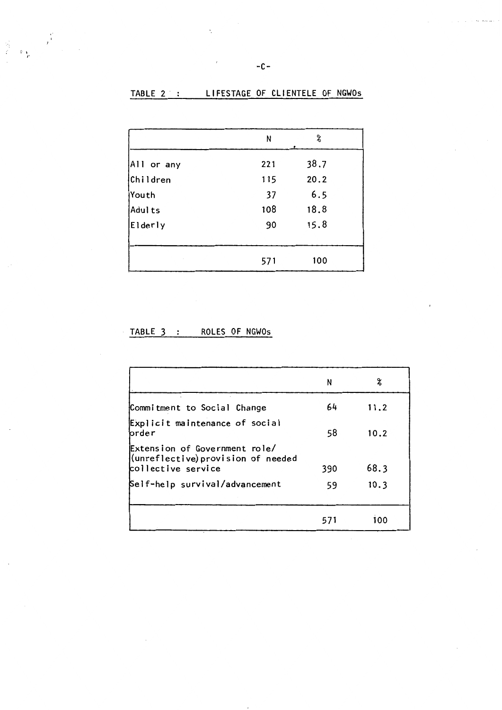# TABLE 2 : LIFESTAGE OF CLIENTELE OF NGWOS

 $\epsilon$ 

|            | N   | %    |  |
|------------|-----|------|--|
| All or any | 221 | 38.7 |  |
| Children   | 115 | 20.2 |  |
| Youth      | 37  | 6.5  |  |
| Adults     | 108 | 18.8 |  |
| Elderly    | 90  | 15.8 |  |
|            |     |      |  |
|            | 571 | 100  |  |

# TABLE 3 : ROLES OF NGWOS

I /'

|                                                                                               | N   | 2    |
|-----------------------------------------------------------------------------------------------|-----|------|
| Commitment to Social Change                                                                   | 64  | 11.2 |
| Explicit maintenance of social<br>brder                                                       | 58  | 10.2 |
| Extension of Government role/<br>$ $ (unreflective) provision of needed<br>collective service | 390 | 68.3 |
| Self-help survival/advancement                                                                | 59  | 10.3 |
|                                                                                               | 571 | 100  |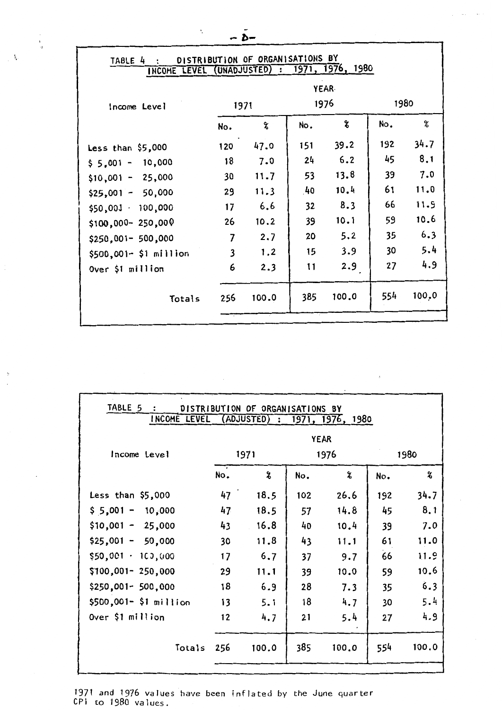| — D—                                                                                           |                         |       |     |       |     |        |  |  |  |
|------------------------------------------------------------------------------------------------|-------------------------|-------|-----|-------|-----|--------|--|--|--|
| DISTRIBUTION OF ORGANISATIONS BY<br>TABLE 4<br>1971, 1976, 1980<br>INCOME LEVEL (UNADJUSTED) : |                         |       |     |       |     |        |  |  |  |
| <b>YEAR</b><br>1980<br>1976<br>1971                                                            |                         |       |     |       |     |        |  |  |  |
| Income Level                                                                                   | No.                     | %     | No. | 8     | No. | %      |  |  |  |
| Less than $$5,000$                                                                             | 120                     | 47.0  | 151 | 39.2  | 192 | 34.7   |  |  |  |
| 10,000<br>$$5,001 -$                                                                           | 18                      | 7.0   | 24  | 6.2   | 45  | 8.1    |  |  |  |
| 25,000<br>$$10,001 -$                                                                          | 30                      | 11.7  | 53  | 13.8  | 39  | 7.0    |  |  |  |
| 50,000<br>$$25,001 -$                                                                          | 29                      | 11.3  | 40  | 10.4  | 61  | 11.0   |  |  |  |
| $$50,001 \cdot 100,000$                                                                        | 17                      | 6.6   | 32  | 8.3   | 66  | 11.9   |  |  |  |
| \$100,000-250,000                                                                              | 26                      | 10.2  | 39  | 10.1  | 59  | 10.6   |  |  |  |
| \$250,001- 500,000                                                                             | $\overline{7}$          | 2.7   | 20  | 5.2   | 35  | 6.3    |  |  |  |
| $$500,001- $1 million$                                                                         | $\overline{\mathbf{3}}$ | 1.2   | 15  | 3.9   | 30  | 5.4    |  |  |  |
| Over \$1 million                                                                               | 6                       | 2.3   | 11  | 2.9   | 27  | 4.9    |  |  |  |
| Totals                                                                                         | 256                     | 100.0 | 385 | 100.0 | 554 | 100, 0 |  |  |  |
|                                                                                                |                         |       |     |       |     |        |  |  |  |

 $\begin{bmatrix} 1 \\ 1 \\ 0 \end{bmatrix}$ 

 $\mathcal{N}_{\mathbf{r}}$ 

| TABLE 5<br>INCOME LEVEL (ADJUSTED) : 1971, 1976, 1980 |     | DISTRIBUTION OF ORGANISATIONS BY |             |       |     |       |
|-------------------------------------------------------|-----|----------------------------------|-------------|-------|-----|-------|
|                                                       |     |                                  | <b>YEAR</b> |       |     |       |
| Income Level                                          |     | 1971                             |             | 1976  |     | 1980  |
|                                                       | No. | 8                                | No.         | ሄ     | No. | X     |
| Less than $$5,000$                                    | 47  | 18.5                             | 102         | 26.6  | 192 | 34.7  |
| $$5,001 -$<br>10,000                                  | 47  | 18.5                             | 57          | 14.8  | 45  | 8.1   |
| $$10,001 - 25,000$                                    | 43  | 16.8                             | 40          | 10.4  | 39  | 7.0   |
| $$25,001 -$<br>50,000                                 | 30  | 11.8                             | 43          | 11.1  | 61  | 11.0  |
| $$50,001 \cdot 100,000$                               | 17  | 6.7                              | 37          | 9.7   | 66  | 11.9  |
| $$100,001-250,000$                                    | 29  | 11.1                             | 39          | 10.0  | 59  | 10.6  |
| \$250,001- 500,000                                    | 18  | 6.9                              | 28          | 7.3   | 35  | 6.3   |
| \$500,001- \$1 million                                | 13  | 5.1                              | 18          | 4.7   | 30  | 5.4   |
| Over \$1 million                                      | 12  | 4.7                              | 21          | 5.4   | 27  | 4.9   |
| Totals                                                | 256 | 100.0                            | 385         | 100.0 | 554 | 100.0 |
|                                                       |     |                                  |             |       |     |       |

1971 and 1976 values have been inflated by the June quarter CPI to 1980 values.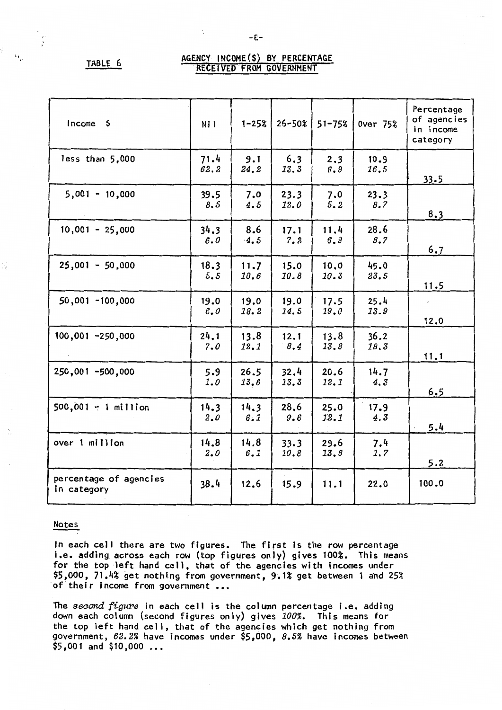,, "

l,

# TABLE 6 AGENCY INCOME(\$) BY PERCENTAGE

| $income$ \$                           | Ni I         | $1 - 25%$    | 26-50%       | $51 - 75%$   | <b>Over 75%</b> | Percentage<br>of agencies<br>in income<br>category |
|---------------------------------------|--------------|--------------|--------------|--------------|-----------------|----------------------------------------------------|
| less than 5,000                       | 71.4<br>62.2 | 9.1<br>24.2  | 6.3<br>13.3  | 2.3<br>6.9   | 10.9<br>16.5    | 33.5                                               |
| $5,001 - 10,000$                      | 39.5<br>8.5  | 7.0<br>4.5   | 23.3<br>12.0 | 7.0<br>5.2   | 23.3<br>8.7     | 8.3                                                |
| $10,001 - 25,000$                     | 34.3<br>6.0  | 8.6<br>4.5   | 17.1<br>7.2  | 11.4<br>6.9  | 28.6<br>8.7     | 6.7                                                |
| $25,001 - 50,000$                     | 18.3<br>5.5  | 11.7<br>10.6 | 15.0<br>10.8 | 10.0<br>10.3 | 45.0<br>23.5    | 11.5                                               |
| $50,001 - 100,000$                    | 19.0<br>6.0  | 19.0<br>18.2 | 19.0<br>14.5 | 17.5<br>19.0 | 25.4<br>13.9    | $\epsilon$<br>12.0                                 |
| 100,001 -250,000                      | 24.1<br>7.0  | 13.8<br>12.1 | 12.1<br>8.4  | 13.8<br>13.8 | 36.2<br>18.3    | 11.1                                               |
| 250,001 -500,000                      | 5.9<br>1.0   | 26.5<br>13.6 | 32.4<br>13.3 | 20.6<br>12.1 | 14.7<br>4.3     | 6.5                                                |
| $500,001 - 1$ million                 | 14.3<br>2.0  | 14.3<br>6.1  | 28.6<br>9,6  | 25.0<br>12.1 | 17.9<br>4.3     | 5.4                                                |
| over 1 million                        | 14.8<br>2.0  | 14.8<br>6.1  | 33.3<br>10.8 | 29.6<br>13.8 | 7.4<br>1.7      | 5.2                                                |
| percentage of agencies<br>in category | 38.4         | 12.6         | 15.9         | 11.1         | 22.0            | 100.0                                              |

# Notes

In each cell there are two figures. The first is the row percentage i.e. adding across each row (top figures only) gives 100%. This means for the top left hand cell, that of the agencies with incomes under \$5,000, 71.4% get nothing from government, 9.1% get between 1 and 25% of their income from government ...

The *second figure* in each cell is the column percentage i.e. adding down each column (second figures only) gives *100%.* This means for the top left hand ceJJ, that of the agencies which get nothing from government, *62.2%* have incomes under \$5,000, *8.5%* have incomes between  $$5,001$  and  $$10,000$  ...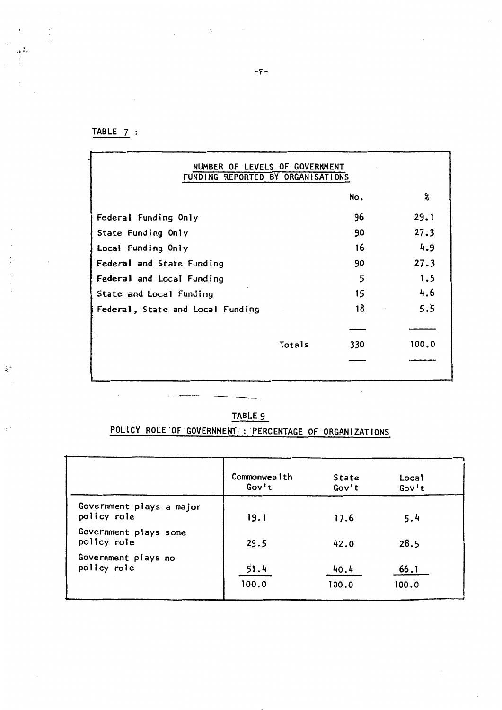TABLE 7 :

 $\overline{\phantom{a}}$ 

 $\frac{1}{2}$ 

 $\mathcal{L}_{\mathcal{P}}$ 

÷

 $\lambda^{\alpha}_{\alpha}$ 

 $\cdot$ 

 $\begin{array}{c} \n\cdot \\
\cdot \\
\cdot\n\end{array}$ 

| NUMBER OF LEVELS OF GOVERNMENT<br>FUNDING REPORTED BY ORGANISATIONS |        |     |       |
|---------------------------------------------------------------------|--------|-----|-------|
|                                                                     |        | No. | 2     |
| Federal Funding Only                                                |        | 96  | 29.1  |
| State Funding Only                                                  |        | 90  | 27.3  |
| Local Funding Only                                                  |        | 16  | 4.9   |
| Federal and State Funding                                           |        | 90  | 27.3  |
| Federal and Local Funding                                           |        | 5   | 1.5   |
| State and Local Funding                                             |        | 15  | 4.6   |
| Federal, State and Local Funding                                    |        | 18  | 5.5   |
|                                                                     |        |     |       |
|                                                                     | Totals | 330 | 100.0 |
|                                                                     |        |     |       |
|                                                                     |        |     |       |

 $\hat{\boldsymbol{\beta}}$ 

# **TABLE** 9

# POLICY ROLE OF GOVERNMENT: PERCENTAGE OF ORGANIZATIONS

|                                         | Commonwealth | <b>State</b> | <b>Local</b> |
|-----------------------------------------|--------------|--------------|--------------|
|                                         | Gov't        | Gov't        | Gov't        |
| Government plays a major<br>policy role | 19.1         | 17.6         | 5.4          |
| Government plays some<br>policy role    | 29.5         | 42.0         | 28.5         |
| Government plays no                     | 51.4         | 40.4         | 66.1         |
| policy role                             | 100.0        | 100.0        | 100.0        |

-F-

 $\cdot$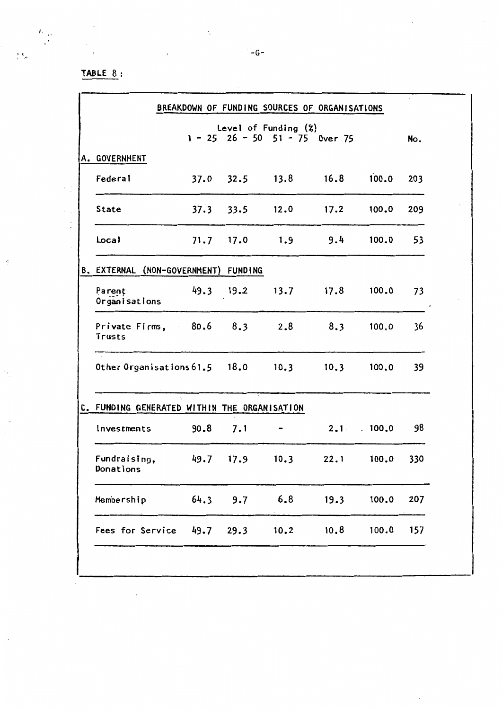# **TABLE** 8:

 $\mathcal{A}$ 

*I.* 

 $\hat{\mathcal{A}}_{\text{eff}}$  $\frac{1}{2}$ 

 $\hat{r}$ 

 $\cdot$ 

 $\mathcal{S}_{\mathcal{L}}$ 

 $\bar{\beta}$  $\bar{\mathcal{A}}$ 

 $\mathcal{A}$ 

|                                               |      |               | Level of Funding $(2)$   | $1 - 25$ 26 - 50 51 - 75 Over 75 |                   | No. |
|-----------------------------------------------|------|---------------|--------------------------|----------------------------------|-------------------|-----|
| A. GOVERNMENT                                 |      |               |                          |                                  |                   |     |
| Federal                                       |      |               |                          | $37.0$ $32.5$ $13.8$ $16.8$      | 100.0             | 203 |
| <b>State</b>                                  |      | $37.3$ $33.5$ |                          | $12.0$ $17.2$                    | 100.0             | 209 |
| Local                                         |      |               | $71.7$ 17.0 1.9 9.4      |                                  | 100.0             | 53  |
| B. EXTERNAL (NON-GOVERNMENT) FUNDING          |      |               |                          |                                  |                   |     |
| Parent<br>Organisations                       |      |               |                          | 49.3 19.2 13.7 17.8              | 100.0             | 73  |
| Private Firms, 80.6 8.3 2.8 8.3<br>Trusts     |      |               |                          |                                  | 100.0             | 36  |
| Other Organisations 61.5 18.0 10.3 10.3 100.0 |      |               |                          |                                  |                   | 39  |
| C. FUNDING GENERATED WITHIN THE ORGANISATION  |      |               |                          |                                  |                   |     |
| Investments                                   | 90.8 | 7.1           | $\overline{\phantom{0}}$ |                                  | $2.1 \cdot 100.0$ | 98  |
| Fundraising,<br>Donations                     |      |               | 49.7 17.9 10.3           |                                  | $22.1$ 100.0      | 330 |
| Membership                                    | 64.3 | 9.7           | 6.8                      | 19.3                             | 100.0             | 207 |
| Fees for Service                              | 49.7 | 29.3          | 10.2                     | 10.8                             | 100.0             | 157 |

 $\sim$   $\lesssim$ 

 $\mathcal{L}_{\mathcal{A}}$ 

 $\ddot{\phantom{0}}$ 

 $\hat{z} = \hat{z} \hat{z}$  .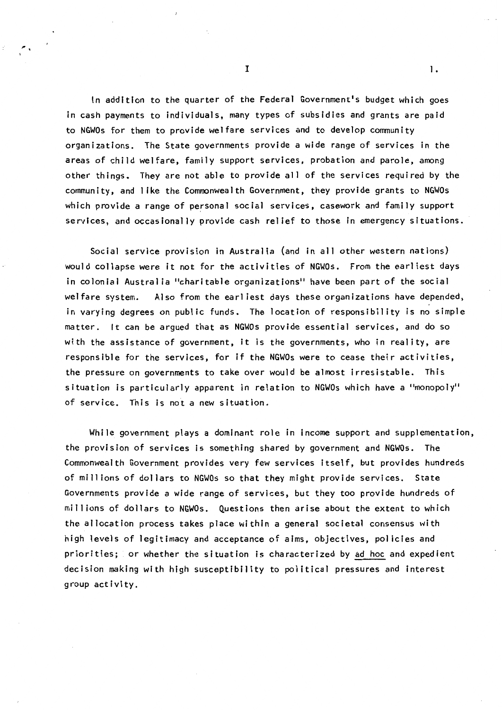In addition to the quarter of the Federal Government's budget which goes in cash payments to individuals, many types of subsidies and grants are paid to NGWOs for them to provide welfare services and to develop community organizations. The State governments provide a wide range of services in the areas of child welfare, family support services, probation and parole, among other things. They are not able to provide all of the services required by the community, and 1 ike the Commonwealth Government, they provide grants to NGWOs which provide a range of personal social services, casework and family support services, and occasionally provide cash relief to those in emergency situations.

Social service provision in Australia (and in all other western nations) would collapse were it not for the activities of NGWOs. From the earliest days in colonial Australia "charitable organizations" have been part of the social welfare system. Also from the earliest days these organizations have depended, in varying degrees on public funds. The location of responsibility is no simple matter. It can be argued that as NGWOs provide essential services, and do so with the assistance of government, it is the governments, who in reality, are responsible for the services, for if the NGWOs were to cease their activities, the pressure on governments to take over would be almost irresistable. This situation is particularly apparent in relation to NGWOs which have a "monopoly" of service. This is not a new situation.

While government plays a dominant role in income support and supplementation, the provision of services is something shared by government and NGWOs. The Commonwealth Government provides very few services itself, but provides hundreds of millions of dollars to NGWOs so that they might provide services. State Governments provide a wide range of services, but they too provide hundreds of millions of dollars to NGWOs. Questions then arise about the extent to which the allocation process takes place within a general societal consensus with high levels of legitimacy and acceptance of aims, objectives, policies and priorities; or whether the situation is characterized by ad hoc and expedient decision making with high susceptibility to political pressures and interest group activity.

 $\mathbf{I}$  1.

 $\overline{\phantom{a}}$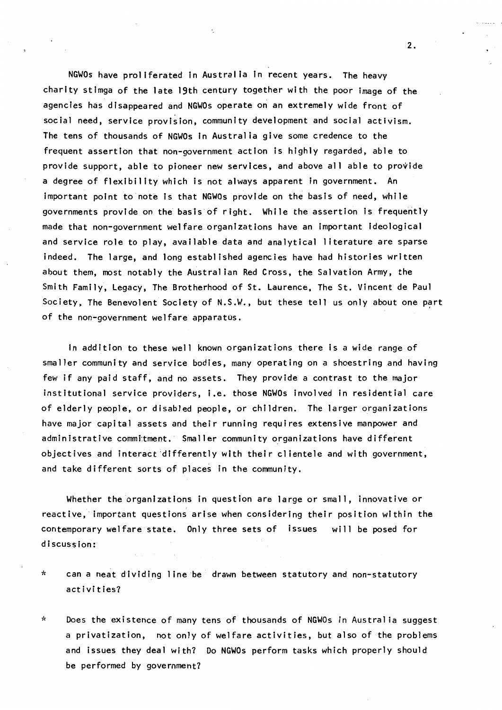NGWOs have proliferated In Australia In recent years. The heavy charity stimga of the late 19th century together with the poor image of the agencies has disappeared and NGWOs operate on an extremely wide front of social need, service provision, community development and social activism. The tens of thousands of NGWOs In Australia give some credence to the frequent assertion that non-government action is highly regarded, able to provide support, able to pioneer new services, and above all able to provide a degree of flexibility which is not always apparent in government. An important point to note is that NGWOs provide on the basis of need, while governments provide on the basis of right. While the assertion is frequently made that non-government welfare organizations have an important ideological and service role to play, available data and analytical literature are sparse indeed. The large, and long established agencies have had histories written about them, most notably the Australian Red Cross, the Salvation Army, the Smith Family, Legacy, The Brotherhood of St. Laurence, The St. Vincent de Paul Society, The Benevolent Society of N.S.W., but these tell us only about one part of the non-government welfare apparatus.

In addition to these well known organizations there is a wide range of smaller community and service bodies, many operating on a shoestring and having few if any paid staff, and no assets. They provide a contrast to the major institutional service proviqers, i.e. those NGWOs involved in residential care of elderly people, or disabled people, or children. The larger organizations have major capital assets and their running requires extensive manpower and administrative commitment. Smaller community organizations have different objectives and interact differently with their clientele and with government, and take different sorts of places in the community.

Whether the organizations in question are large or small, innovative or reactive, important questions arise when considering their position within the contemporary welfare state. Only three sets of issues will be posed for discussion:

- \* can a neat dividing line be drawn between statutory and non-statutory activities?
- '~ Does the existence of many tens of thousands of NGWOs in Australia suggest a privatization, not only of welfare activities, but also of the problems and issues they deal with? Do **NGWOs** perform tasks which properly should be performed by government?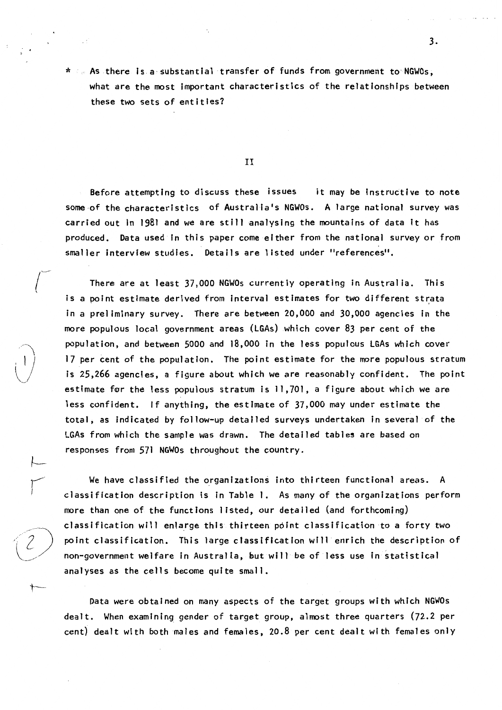\* As there Is a, substantial transfer of funds from government tO' NGWOs, what are the most Important characteristics of the relationships between these two sets of entities?

II

Before attempting to discuss these issues it may be Instructive to note some of the characteristics of Australia's NGWOs. A large national survey was carried out in 1981 and we are still analysing the mountains of data it has produced. Data used in this paper come either from the national survey or from smaller interview studies. Details are listed under "references".

There are at least 37,000 NGWOs currently operating in Australia. This is a point estimate derived from interval estimates for two different strata in a preliminary survey. There are between 20,000 and 30,000 agencies in the more populous local government areas (LGAs) which cover 83 per cent of the population, and between 5000 and 18,000 in the less populous LGAs which cover 17 per cent of the population. The point estimate for the more populous stratum is 25,266 agencies, a figure about which we are reasonably confident. The point estimate for the less populous stratum is 11,701, a figure about which we are less confident. If anything, the estimate of 37,000 may under estimate the total, as indicated by follow-up detailed surveys undertaken in several of the LGAs from which the sample was drawn. The detailed tables are based on responses from 571 NGWOs throughout the country.

We have classified the organizations into thirteen functional areas. A classification description is in Table 1. As many of the organizations perform more than one of the functions listed, our detailed (and forthcoming) classification will enla\_rge this thirteen point classification to a forty two point classification. This large classtfication will enrich the description of non-government welfare in Australia, but will be of less use in statistical analyses as the cells become quite small.

 $\vdash$ 

r

 $\leftarrow$ 

Data were obtained on many aspects of the target groups with which NGWOs dealt. When examining gender of target group, almost three quarters (72.2 per cent) dealt with both males and females, 20.8 per cent dealt with females only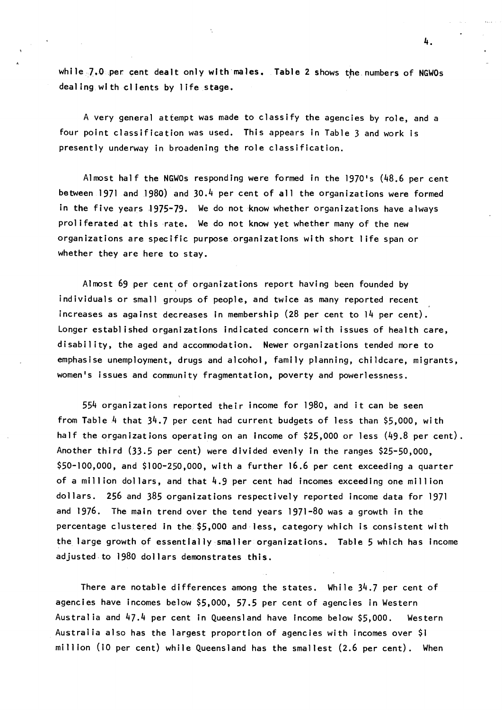whlle}.O per cent dealt only with **males.**  Table 2 shows the numbers of NGWOs I dealing with clients by life stage.

A very general attempt was made to classify the agencies by role, and a four point classification was used. This appears in Table 3 and work is presently underway in broadening the role classification.

Almost half the NGWOs responding were formed in the 1970's (48.6 per cent between 1971 and 1980) and 30.4 per cent of all the organizations were formed in the five years ,1975-79. We do not know whether organizations have always proliferated at this rate. We do not know yet whether many of the new organizations are specific purpose,organizatlons with short life span or whether they are here to stay.

Almost 69 per cent of organizations report having been founded by individuals or small groups of people, and twice as many reported recent increases as against decreases in membership (28 per cent to 14 per cent). Longer established organizations indicated concern with issues of health care, disability, the aged and accommodation. Newer organizations tended more to emphasise unemployment, drugs and alcohol, family planning, childcare, migrants, women's issues and community fragmentation, poverty and powerlessness.

554 organizations reported their income for 1980, and it can be seen from Table 4 that 34,7 per cent had current budgets of less than \$5,000, with half the organizations operating on an income of \$25,000 or less (49.8 per cent). Another third (33,5 per cent) were divided evenly in the ranges \$25-50,000, \$50-100,000, and \$100-250,000, with a further 16.6 per cent exceeding a quarter of a million dollars, and that 4.9 per cent had incomes exceeding one million dollars. 256 and 385 organizations respectively reported income data for 1971 and 1976. The main trend over the tend years 1971-80 was a growth in the percentage clustered in the \$5,000 and less, category which is consistent with the large growth of essentially smaller organizations. Table 5 which has Income adjusted to 1980 dollars demonstrates this.

There are notable differences among the states. While 34.7 per cent of agencies have incomes below \$5,000, 57.5 per cent of agencies in Western Australia and 47.4 per cent in Queensland have income below \$5,000. Western Australia also has the largest proportion of agencies with incomes over \$1 million (10 per cent) while Queensland has the smallest (2.6 per cent). When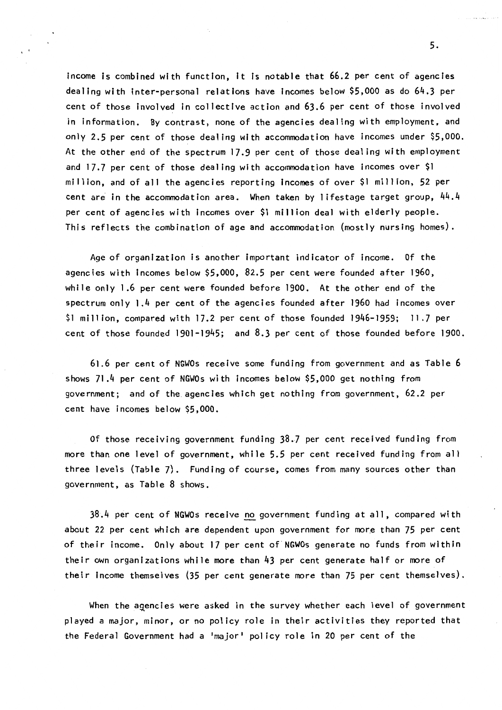income is combined with function, It Is notable that 66.2 per cent of agencies dealing with inter-personal relations have incomes below \$5,000 as do 64.3 per cent of those involved in collective action and 63.6 per cent of those involved in information. By contrast, none of the agencies dealing with employment, and only 2.5 per cent of those dealing with accommodation have incomes under \$5,000. At the other end of the spectrum 17,9 per cent of those dealing with employment and 17,7 per cent of those dealing with accommodation have incomes over \$1 million, and of all the agencies reporting Incomes of over \$1 million, 52 per cent are in the accommodation area. When taken by lifestage target group, 44.4 per cent of agencies with Incomes over \$1 million deal with elderly people. This reflects the combination of age and accommodation (mostly nursing homes).

Age of organization is another important indicator of income. Of the agencies with incomes below \$5,000, 82.5 per cent were founded after 1960, while only 1.6 per cent were founded before 1900. At the other end of the spectrum only 1 .4 per cent of the agencies founded after 1960 had incomes over \$1 million, compared with 17.2 per cent of those founded 1946-1959; 11 .7 per cent of those founded 1901-1945; and 8,3 per cent of those founded before 1900.

61 .6 per cent of NGWOs receive some funding from government and as Table 6 shows 71 .4 per cent of NGWOs with incomes below \$5,000 get nothing from government; and of the agencies which get nothing from government, 62.2 per cent have incomes below \$5,000.

Of those receiving government funding 38,7 per cent received funding from more than one level of government, while 5,5 per cent received funding from all three levels (Table 7). Funding of course, comes from many sources other than government, as Table 8 shows.

 $38.4$  per cent of NGWOs receive no government funding at all, compared with about 22 per cent which are dependent upon government for more than 75 per cent of their income. Only about 17 per cent of NGWOs generate no funds from within their own organizations while more than 43 per cent generate half or more of their Income themselves (35 per cent generate more than 75 per cent themselves).

When the agencies were asked in the survey whether each level of government played a major, minor, or no pol icy role in their activities they reported that the Federal Government had a 'major' policy role in 20 per cent of the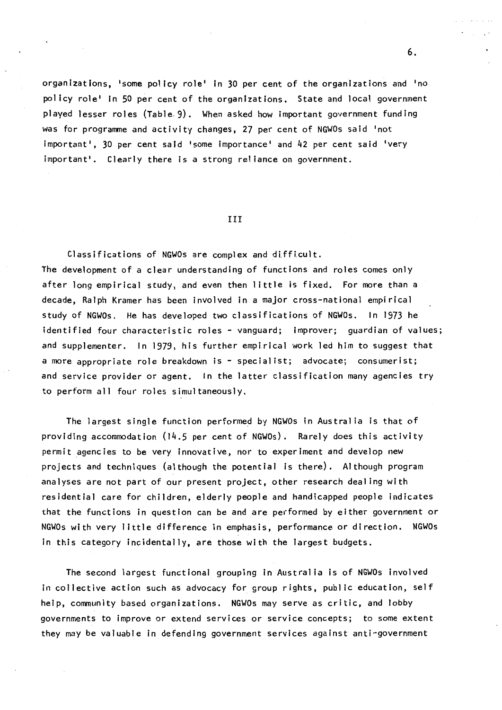organizations, •some policy role' in 30 per cent of the organizations and 'no pol icy role' In 50 per cent of the organizations. State and local government played lesser roles (Table. 9). When asked how important government funding was for programme and activity changes, 27 per cent of NGWOs said 'not important<sup>1</sup>, 30 per cent said 'some importance' and 42 per cent said 'very important<sup>'</sup>. Clearly there is a strong reliance on government.

### III

Classifications of NGWOs are complex and difficult. The development of a clear understanding of functions and roles comes only after long empirical study, and even then little is fixed. For more than a decade, Ralph Kramer has been involved in a major cross-national empirical study of NGWOs. He has developed two classifications of NGWOs. In 1973 he identified four characteristic roles - vanguard; improver; guardian of values; and supplementer. In 1979, his further empirical work led him to suggest that a more appropriate role breakdown is - specialist; advocate; consumerist; and service provider or agent. In the latter classification many agencies try to perform all four roles simultaneously.

The largest single function performed by NGWOs in Australia is that of providing accommodation (14.S per cent of NGWOs). Rarely does this activity permit agencies to be very innovative, nor to experiment and develop new projects and techniques (although the potential is there). Although program analyses are not part of our present project, other research dealing with residential care for children, elderly people and handicapped people indicates that the functions in question can be and are performed by either government or NGWOs with very little difference in emphasis, performance or direction. NGWOs in this category incidentally, are those with the largest budgets.

The second largest functional grouping in Australia is of NGWOs involved in collective action such as advocacy for group rights, public education, self help, community based organizations. NGWOs may serve as critic, and lobby governments to improve or extend services or service concepts; to some extent they may be valuable in defending government services against anti-government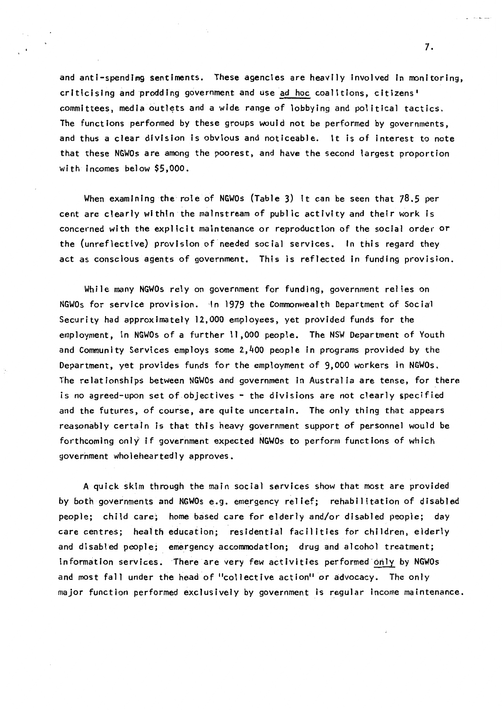and anti-spendimg sentiments. These agencies are heavily involved in monitoring, criticising and prodding government and use ad hoc coalitions, cltizens' committees, media outlets and a wide range of lobbying and political tactics. The functions performed by these groups would not be performed by governments, and thus a clear division Is obvious and noticeable. It is of interest to note that these NGWOs are among the poorest, and have the second largest proportion with incomes below \$5,000.

When examining the role of NGWOs (Table 3) It can be seen that 78.5 per cent are clearly within the mainstream of public activity and their work is concerned with the explicit maintenance or reproduction of the social order or the (unreflective) provision of needed social services. In this regard they act as conscious agents of government. This is reflected in funding provision.

While many NGWOs rely on government for funding, government relies on NGWOs for service provision. In 1979 the Commonwealth Department of Social Security had approximately 12,000 employees, yet provided funds for the employment, in NGWOs of a further 11,000 people. The NSW Department of Youth and Community Services employs some 2,400 people in programs provided by the Department, yet provides funds for the employment of 9,000 workers in NGWOs. The relationships between NGWOs and government in Australia are tense, for there is no agreed-upon set of objectives - the divisions are not clearly specified and the futures, of course, are quite uncertain. The only thing that appears reasonably certain is that this heavy government support of personnel would be forthcoming only if government expected NGWOs to perform functions of which government wholeheartedly approves.

A quick skim through the main social services show that most are provided by both governments and NGWOs e.g. emergency relief; rehabilitation of disabled people; child care; home based care for elderly and/or disabled people; day care centres; health education; residential facil itles for children, elderly and disabled people; emergency accommodation; drug and alcohol treatment; information services. There are very few activities performed·only by NGWOs and most fall under the head of "collective action" or advocacy. The only major function performed exclusively by government is regular income maintenance.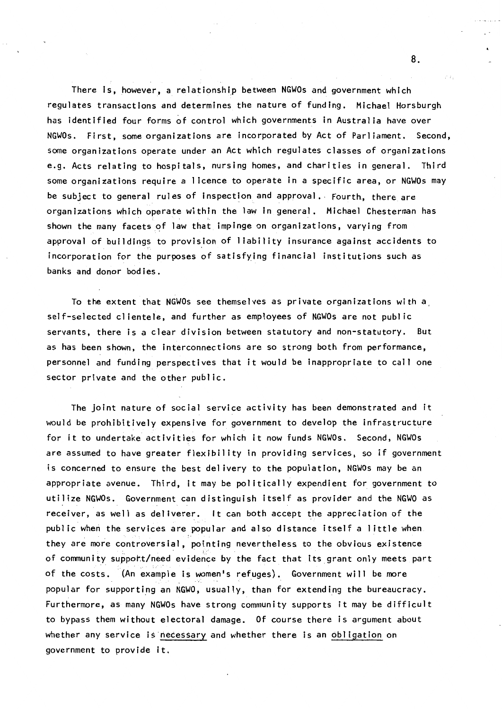There is, however, a relationship between NGWOs and government which regulates transactions and determines the nature of funding. Michael Horsburgh has identified four forms of control which governments in Australia have over NGWOs. First, some organizations are incorporated by Act of Parliament. Second, some organizations operate under an Act which regulates classes of organizations e.g. Acts relating to hospitals, nursing homes, and charities in general. Third some organizations require a 1 icence to operate in a specific area, or NGWOs may be subject to general rules of inspection and approval. Fourth, there are organizations which operate within the law In general. Michael Chesterman has shown the many facets of law that impinge on organizations, varying from approval of buildings to provision of liability insurance against accidents to incorporation for the purposes of satisfying financial institutions such as banks and donor bodies.

To the extent that NGWOs see themselves as private organizations with a self-selected cl ientele, and further as employees of NGWOs are not public servants, there is a clear division between statutory and non-statutory. But as has been shown, the interconnections are so strong both from performance, personnel and funding perspectives that it would be inappropriate to call one sector private and the other public.

The joint nature of social service activity has been demonstrated and it would be prohibitively expensive for government to develop the infrastructure for it to undertake activities for which it now funds NGWOs. Second, NGWOs are assumed to have greater flexibility in providing services, so if government is concerned to ensure the best delivery to the population, NGWOs may be an appropriate avenue. Third, it may be politically expendient for government to utilize NGWOs. Government can distinguish itself as provider and the NGWO as receiver, as well as deliverer. It can both accept the appreciation of the public when the services are popular and also distance itself a little when they are more controversial, pointing nevertheless to the obvious existence of community support/need evidence by the fact that its grant only meets part of the costs. (An example is women's refuges). Government will be more popular for supporting an NGWO, usually, than for extending the bureaucracy. Furthermore, as many NGWOs have strong community supports it may be difficult to bypass them without electoral damage. Of course there is argument about whether any service is necessary and whether there is an obligation on government to provide it.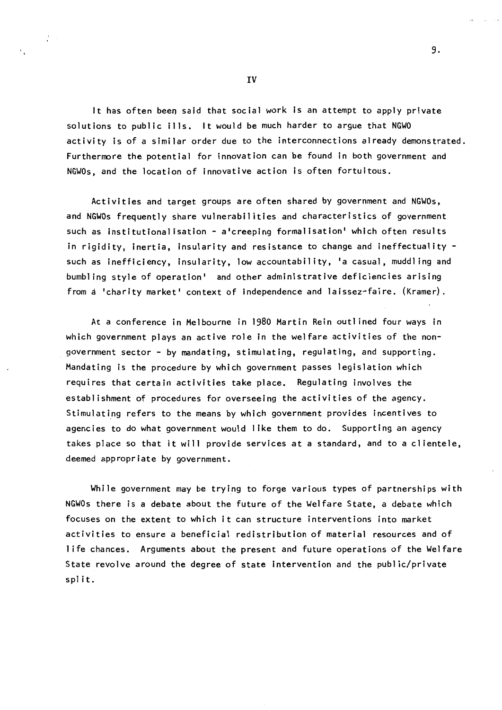It has often been said that social work is an attempt to apply private solutions to public ills. It would be much harder to argue that NGWO activity is of a similar order due to the interconnections already demonstrated. Furthermore the potential for innovation can be found in both government and NGWOs, and the location of innovative action is often fortuitous.

9.

Activities and target groups are often shared by government and NGWOs, and NGWOs frequently share vulnerabilities and characteristics of government such as institutionalisation - a'creeping formalisation' which often results in rigidity, inertia, insularity and resistance to change and ineffectuality such as inefficiency, insularity, low accountability, 'a casual, muddling and bumbling style of operation' and other administrative deficiencies arising from a 'charity market' context of independence and laissez-faire. (Kramer}.

At a conference in Melbourne in 1980 Martin Rein outlined four ways in which government plays an active role in the welfare activities of the nongovernment sector - by mandating, stimulating, regulating, and supporting. Mandating ls the procedure by which government passes legislation which requires that certain activities take place. Regulating involves the establishment of procedures for overseeing the activities of the agency. Stimulating refers to the means by which government provides incentives to agencies to do what government would l Ike them to do. Supporting an agency takes place so that it will provide services at a standard, and to a clientele, deemed appropriate by government.

While government may be trying to forge various types of partnerships with NGWOs there is a debate about the future of the Welfare State, a debate which focuses on the extent to which it can structure interventions into market activities to ensure a beneficial redistribution of material resources and of life chances. Arguments about the present and future operations of the Welfare State revolve around the degree of state intervention and the public/private split.

IV

 $\mathcal{L}$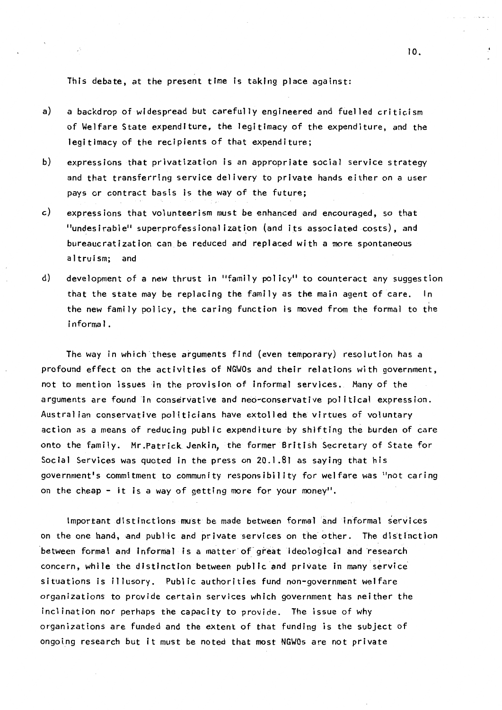This debate, at the present time is taking place against:

- a) a backdrop of widespread but carefully engineered and fuelled criticism of Welfare State expenditure, the legitimacy of the expenditure, and the legitimacy of the recipients of that expenditure;
- b) expressions that privatization is an appropriate social service strategy and that transferring service delivery to private hands either on a user pays or contract basis is the way of the future;
- c) expressions that volunteerism must be enhanced and encouraged, so that "undesirable" superprofessionalization (and its associated costs), and bureaucratization can be reduced and replaced with a more spontaneous altruism; and
- d) development of a new thrust in "family policy" to counteract any suggestion that the state may be replacing the family as the main agent of care. In the new family policy, the caring function is moved from the formal to the i nforma I.

The way in which these arguments find (even temporary) resolution has a profound effect on the activities of NGWOs and their relations with government, not to mention issues in the provision of informal services. Many of the arguments are found in conservative and neo-conservative political expression. Australian conservative politicians have extolled the virtues of voluntary action as a means of reducing public expenditure by shifting the burden of care onto the family. Mr.Patrick Jenkin, the former British Secretary of State for Social Services was quoted in the press on 20.1.81 as saying that his government's commitment to community responsibility for welfare was "not caring on the cheap - it is a way of getting more for your money".

Important distinctions must be made between formal and informal services on the one hand, and public and private services on the other. The distinction between formal and informal is a matter of great ideological and research concern, while the distinction between publtc and private in many service situations is illusory. Public authorities fund non-government welfare organizations to provide certain services which government has neither the inclination nor perhaps the capacity to provide. The issue of why organizations are funded and the extent of that funding is the subject of ongoi.ng research but it must be noted that most NGWOs are not private

IO.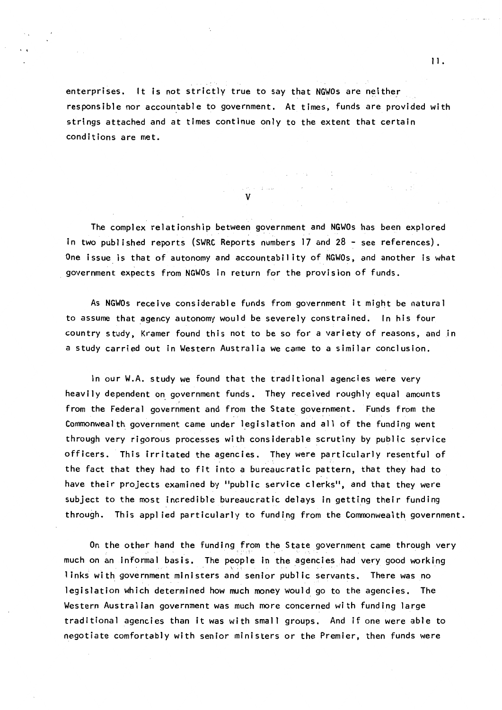enterprises. It is not strictly true to say that NGWOs are neither responsible nor accountable to government. At times, funds are provided with strings attached and at times continue only to the extent that certain conditions are met.

 $\mathcal{L}_{\rm{max}}$ 

**Contract Administration** 

 $\sigma_{\rm c} \approx (1/\Delta\omega_{\rm c})^2/(1-\epsilon^2)^{1/2}$ V

The complex relationship between government and NGWOs has been explored in two published reports (SWRC Reports numbers 17 and 28 ~ see references). One issue is that of autonomy and accountability of NGWOs, and another is what government expects from NGWOs in return for the provision of funds.

As NGWOs receive considerable funds from government it might be natural to assume that agency autonomy would be severely constrained. In his four country study, Kramer found this not to be so for a variety of reasons, and in a study carried out in Western Australia we came to a similar conclusion.

In our W.A. study we found that the traditional agencies were very heavily dependent on government funds. They received roughly equal amounts from the Federal government and from the State government. Funds from the Commonwealth government came under legislation and all of the funding went through very rigorous processes with considerable scrutiny by public service officers. This irritated the agencies. They were particularly resentful of the fact that they had to fit into a bureaucratic pattern, that they had to have their projects examined by "public service clerks", and that they were subject to the most incredible bureaucratic delays in getting their funding through. This applied particularly to funding from the Commonwealth government.

On the other hand the funding from the State government came through very much on an informal basis. The people in the agencies had very good working 1 inks with government ministers and senior public servants. There was no legislation which determined how much money would go to the agencies. The Western Australian government was much more concerned with funding large traditional agencies than it was with small groups. And if one were able to negotiate comfortably with senior ministers or the Premier, then funds were

in single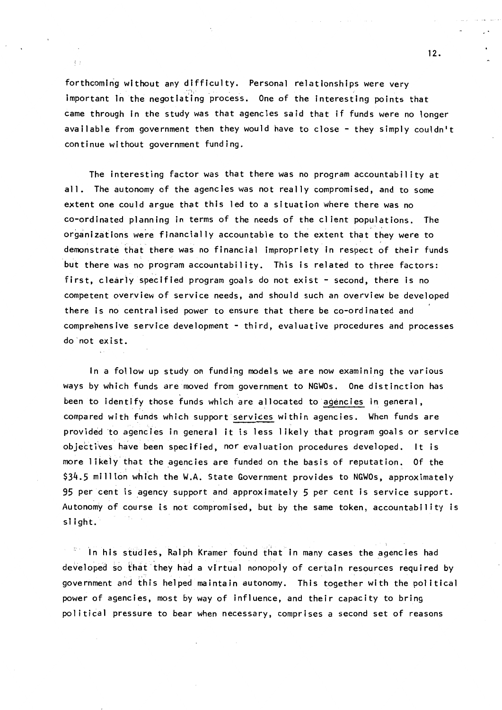forthcoming without any difficulty. Personal relationships were very important in the negotiating process. One of the interesting points that came through in the study was that agencies said that if funds were no longer available from government then they would have to close - they simply couldn't continue without government funding.

 $\left\{ -\right\}$ 

The interesting factor was that there was no program accountability at all. The autonomy of the agencies was not really compromised, and to some extent one could argue that this led to a situation where there was no co-ordinated planning in terms of the needs of the client populations. The organizations were financially accountable to the extent that they were to demonstrate that there was no financial impropriety in respect of their funds but there was no program accountability. This is related to three factors: first, clearly specified program goals do not exist - second, there is no competent overview of service needs, and should such an overview be developed there is no centralised power to ensure that there be co-ordinated and comprehensive service development - third, evaluative procedures and processes do · not ex i st.

In a follow up study on funding models we are now examining the various ways by which funds are moved from government to NGWOs. One distinction has been to identify those funds which are allocated to agencies in general, compared with funds which support services within agencies. When funds are provided to agencies in general it is less likely that program goals or service objectives have been specified, nor evaluation procedures developed. It is more likely that the agencies are funded on the basis of reputation. Of the \$34.5 million which the W.A. State Government provides to NGWOs, approximately 95 per cent is agency support and approximately 5 per cent is service support. Autonomy of course is not compromised, but by the same token, accountability is slight.

In his studies, Ralph Kramer found that in many cases the agencies had developed so that they had a virtual nonopoly of certain resources required by government and this helped maintain autonomy. This together with the political power of agencies, most by way of influence, and their capacity to bring political pressure to bear when necessary, comprises a second set of reasons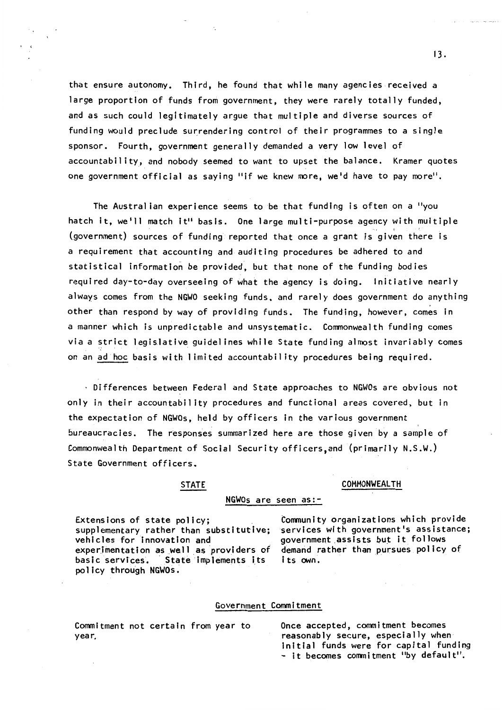that ensure autonomy. Third, he found that while many agencies received a large proportion of funds from government, they were rarely totally funded, and as such could legitimately argue that multiple and diverse sources of funding would preclude surrendering control of their programmes to a single sponsor. Fourth, government generally demanded a very low level of accountability, and nobody seemed to want to upset the balance, Kramer quotes one government official as saying "if we knew more, we'd have to pay more".

The Australian experience seems to be that funding is often on a "you hatch it, we'll match it" basis. One large multi-purpose agency with multiple (government) sources of funding reported that once a grant is given there is a requirement that accounting and auditing procedures be adhered to and statistical information be provided, but that none of the funding bodies required day-to-day overseeing of what the agency is doing. Initiative nearly always comes from the NGWO seeking funds. and rarely does government do anything other than respond by way of providing funds. The funding, however, comes in a manner which is unpredictable and unsystematic. Commonwealth funding comes via a strict legislative quidelines while State funding almost invariably comes on an ad hoc basis with limited accountability procedures being required.

Differences between Federal and State approaches to NGWOs are obvious not only in their accountability procedures and functional areas covered, but in the expectation of NGWOs, held by officers in the various government bureaucracies. The responses summarized here are those given by a sample of Commonwealth Department of Social Security officers, and (primarily N.S.W.) State Government officers.

# STATE COMMONWEALTH

### NGWOs are seen as:-

Extensions of state policy; supplementary rather than substitutive; vehicles for innovation and experimentation as well as providers of basic services. State implements its po 1 icy through NGWOs.

Community organizations which provide services with government's assistance; government assists but it follows demand rather than pursues policy of its own.

# Government Commitment

Conmltment not certain from year to year.

Once accepted, commitment becomes reasonably secure, especially when initial funds were for capital funding - it becomes conmitment "by default".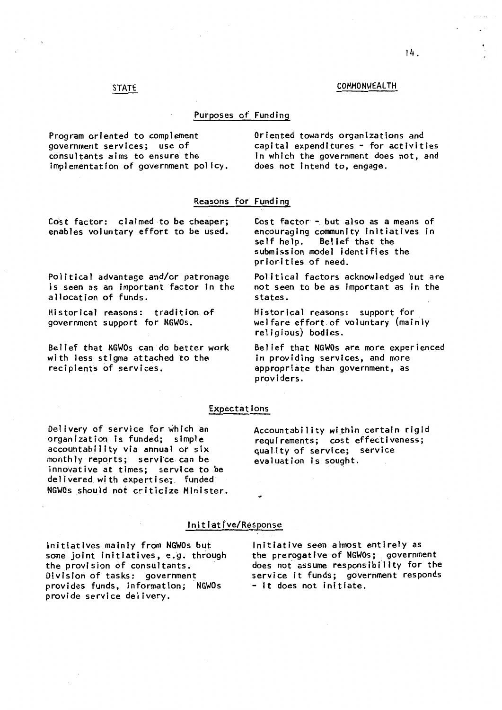# STATE COMMONWEALTH

## Purposes of Funding

Program oriented to complement government services; use of consultants aims to ensure the implementation of government policy. Oriented towards organizations and  $c$ apital expenditures  $-$  for activities In which the government does not, and does not intend to, engage.

# Reasons for Funding

Co'st factor: claimed to be cheaper; enables voluntary effort to be used.

Political advantage and/or patronage is seen as an important factor in the allocation of funds.

Historical reasons: tradition of government support for NGWOs.

Belief that NGWOs can do better work with less stigma attached to the recipients of services.

Cost factor - but also as a means of

encouraging community Initiatives in Belief that the submission model identifies the priorities of need.

Political factors acknowledged but are not seen to be as important as in the states.

Historical reasons: support for welfare effort.of voluntary (mainly religious) bodies.

Belief that NGWOs are more experienced in providing services, and more appropriate than government, as providers.

### Expectations

Delivery of service for which an organization is funded; simple accouhtability via annual ot six monthly reports; service can be innovative at times; service to be delivered with expertise; funded NGWOs should not cr1ticize Minister. Accountability within certain rigid requirements; cost effectiveness; quality of service; service evaluation is sought.

# Initiative/Response

Initiatives mainly from **NGWOs** but some joint Initiatives, e.g. through the provision of consultants. Division of tasks: government provides funds, information; NGWOs provide service delivery.

Initiative seen almost entirely as the prerogative of NGWOs; government does not assume responsibility for the service it funds; government responds - it does not initiate.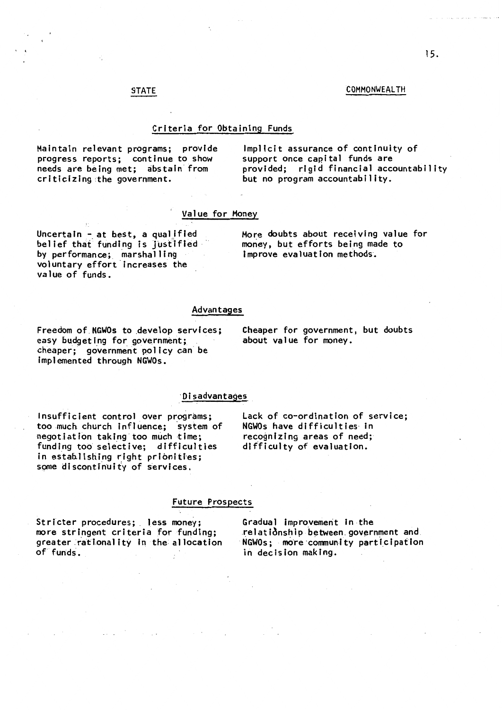# STATE COMMONWEALTH

## Criteria for Obtaining Funds

Maintain relevant programs; provide progress reports; continue to show needs are being met; abstain from criticizing the government.

Implicit assurance of continuity of support once capital funds are provided; rigid financial accountability but no program accountability.

# Value for Money

Uncertain - at best, a qualified belief that funding is justified<br>by performance; marshalling voluntary effort increases the value of funds.

More doubts about receiving value for money, but efforts being made to Improve evaluation methods.

# Advantages

Freedom of NGWOs to develop services; easy budgeting for government; cheaper: government policy can be implemented through NGWOs.

Cheaper for government, but doubts about value for money.

## ·Disadvantages

Insufficient control over programs; too much church influence; system of negotiation taking too much time; funding too selective; difficulties in establishing right prionities; some discontinuity of services.

Lack of co-ordination of service; NGWOs have difficulties· in recognizing areas of need; difficulty of evaluation.

## Future Prospects

Stricter procedures;. **less** money; more stringent criteria for funding; greater .ratlonal ity in the al location of funds.

Gradual improvement in the relationship between government and NGWOs: more community participation in decision making.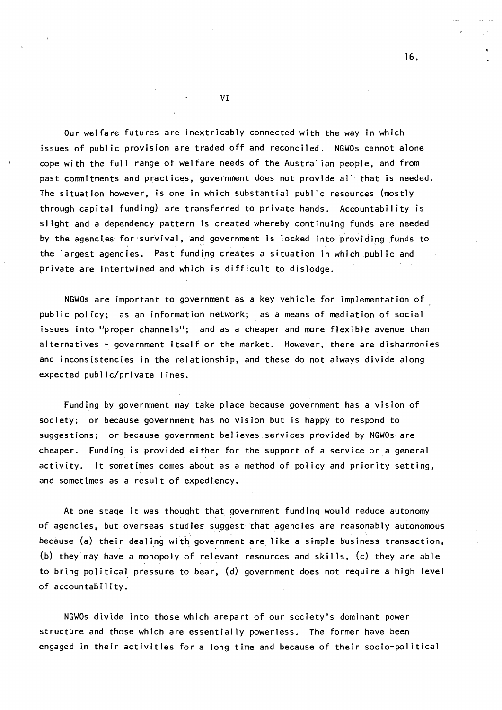Our welfare futures are inextricably connected with the way in which issues of public provision are traded off and reconciled. NGWOs cannot alone cope with the full range of welfare needs of the Australian people, and from past commitments and practices, government does not provide all that is needed. The situation however, is one in which substantial public resources (mostly through capital funding} are transferred to private hands. Accountability is slight and a dependency pattern is created whereby continuing funds are needed by the agencies for survival, and government is locked into providing funds to the largest agencies. Past funding creates a situation in which public and private are intertwined and which is difficult to dislodge.

NGWOs are important to government as a key vehicle for implementation of public policy; as an information network; as a means of mediation of social issues into "proper channels"; and as a cheaper and more flexible avenue than alternatives - government itself or the market. However, there are disharmonies and inconsistencies in the relationship, and these do not always divide along expected public/private I ines.

Funding by government may take place because government has a vision of society; or because government has no vision but is happy to respond to suggestions; or because government believes services provided by NGWOs are cheaper. Funding is provided either for the support of a service or a general activity. It sometimes comes about as a method of policy and priority setting, and sometimes as a result of expediency.

At one stage it was thought that government funding would reduce autonomy of agencies, but overseas studies suggest that agencies are reasonably autonomous because (a) their dealing with government are like a simple business transaction, (b) they may have a monopoly of relevant resources and skills, (c) they are able to bring political pressure to bear,  $(d)$  government does not require a high level of accountability.

NGWOs divide into those which arepart of our society's dominant power structure and those which are essentially powerless. The former have been engaged in their activities for a long time and because of their socio-political

VI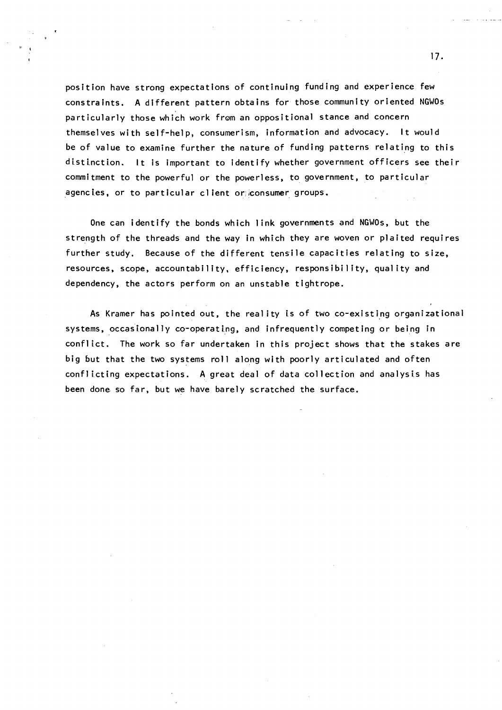position have strong expectations of continuing funding and experience few constraints. A different pattern obtains for those community oriented NGWOs particularly those which work from an oppositional stance and concern themselves with self-help, consumerism, information and advocacy. It would be of value to examine further the nature of funding patterns relating to this distinction. It is important to identify whether government officers see their commitment to the powerful or the powerless, to government, to particular agencies, or to particular client or consumer groups.

One can identify the bonds which link governments and NGWOs, but the strength of the threads and the way in which they are woven or plaited requires further study. Because of the different tensile capacities relating to size, resources, scope, accountability, efficiency, responsibility, quality and dependency, the actors perform on an unstable tightrope.

As Kramer has pointed out, the reality is of two co-existing organizational systems, occasionally co-operating, and infrequently competing or being in conflict. The work so far undertaken in this project shows that the stakes are big but that the two systems roll along with poorly articulated and often conflicting expectations. A great deal of data collection and analysis has been done so far, but we have barely scratched the surface.